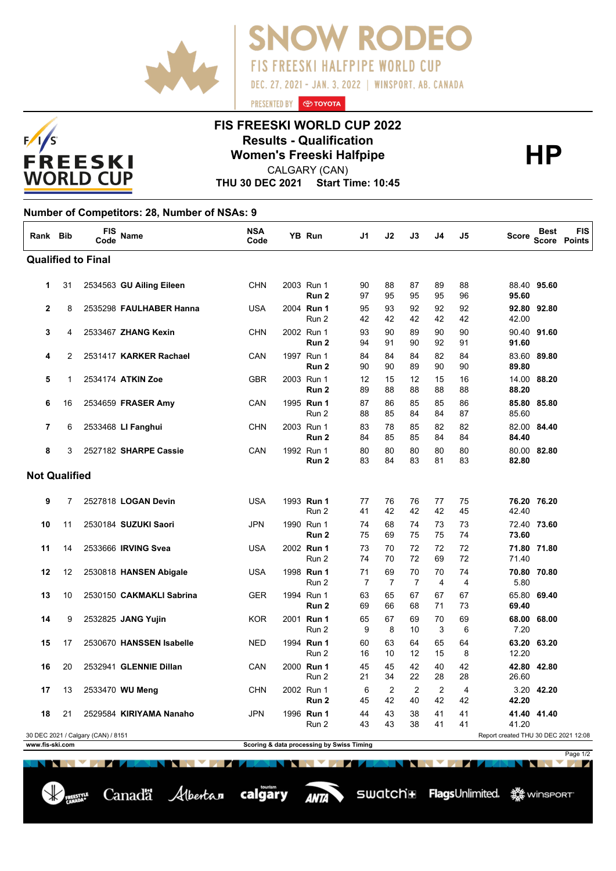



## **FIS FREESKI WORLD CUP 2022 Results - Qualification<br>
Women's Freeski Halfpipe<br>
CALGARY (CAN)**

PRESENTED BY **O TOYOTA** 

**FIS FREESKI HALFPIPE WORLD CUP** 

DEC. 27, 2021 - JAN. 3, 2022 | WINSPORT, AB. CANADA

**V RODEO** 

CALGARY (CAN)

**THU 30 DEC 2021 Start Time: 10:45**

## **Number of Competitors: 28, Number of NSAs: 9**

| Rank Bib                                                                                                                                   |          | <b>FIS</b><br>Code | Name                     | <b>NSA</b><br>Code |  | YB Run                         | J1       | J2       | J3       | J4                   | J5                   | <b>Score</b> | <b>Best</b> | <b>FIS</b><br>Score Points |
|--------------------------------------------------------------------------------------------------------------------------------------------|----------|--------------------|--------------------------|--------------------|--|--------------------------------|----------|----------|----------|----------------------|----------------------|--------------|-------------|----------------------------|
| <b>Qualified to Final</b>                                                                                                                  |          |                    |                          |                    |  |                                |          |          |          |                      |                      |              |             |                            |
| $\mathbf{1}$                                                                                                                               | 31       |                    | 2534563 GU Ailing Eileen | <b>CHN</b>         |  | 2003 Run 1<br>Run <sub>2</sub> | 90<br>97 | 88<br>95 | 87<br>95 | 89<br>95             | 88<br>96             | 95.60        | 88.40 95.60 |                            |
| $\mathbf{2}$                                                                                                                               | 8        |                    | 2535298 FAULHABER Hanna  | <b>USA</b>         |  | 2004 Run 1<br>Run 2            | 95<br>42 | 93<br>42 | 92<br>42 | 92<br>42             | 92<br>42             | 42.00        | 92.80 92.80 |                            |
| 3                                                                                                                                          | 4        |                    | 2533467 ZHANG Kexin      | <b>CHN</b>         |  | 2002 Run 1<br>Run <sub>2</sub> | 93<br>94 | 90<br>91 | 89<br>90 | 90<br>92             | 90<br>91             | 91.60        | 90.40 91.60 |                            |
| 4                                                                                                                                          | 2        |                    | 2531417 KARKER Rachael   | CAN                |  | 1997 Run 1<br>Run <sub>2</sub> | 84<br>90 | 84<br>90 | 84<br>89 | 82<br>90             | 84<br>90             | 89.80        | 83.60 89.80 |                            |
| 5                                                                                                                                          | 1        |                    | 2534174 ATKIN Zoe        | <b>GBR</b>         |  | 2003 Run 1<br>Run <sub>2</sub> | 12<br>89 | 15<br>88 | 12<br>88 | 15<br>88             | 16<br>88             | 88.20        | 14.00 88.20 |                            |
| 6                                                                                                                                          | 16       |                    | 2534659 FRASER Amy       | CAN                |  | 1995 Run 1<br>Run 2            | 87<br>88 | 86<br>85 | 85<br>84 | 85<br>84             | 86<br>87             | 85.60        | 85.80 85.80 |                            |
| $\overline{7}$                                                                                                                             | 6        |                    | 2533468 LI Fanghui       | <b>CHN</b>         |  | 2003 Run 1<br>Run <sub>2</sub> | 83<br>84 | 78<br>85 | 85<br>85 | 82<br>84             | 82<br>84             | 84.40        | 82.00 84.40 |                            |
| 8                                                                                                                                          | 3        |                    | 2527182 SHARPE Cassie    | CAN                |  | 1992 Run 1<br>Run <sub>2</sub> | 80<br>83 | 80<br>84 | 80<br>83 | 80<br>81             | 80<br>83             | 82.80        | 80.00 82.80 |                            |
| <b>Not Qualified</b>                                                                                                                       |          |                    |                          |                    |  |                                |          |          |          |                      |                      |              |             |                            |
| 9                                                                                                                                          | 7        |                    | 2527818 LOGAN Devin      | <b>USA</b>         |  | 1993 Run 1<br>Run 2            | 77<br>41 | 76<br>42 | 76<br>42 | 77<br>42             | 75<br>45             | 42.40        | 76.20 76.20 |                            |
| 10                                                                                                                                         | 11       |                    | 2530184 SUZUKI Saori     | <b>JPN</b>         |  | 1990 Run 1<br>Run <sub>2</sub> | 74<br>75 | 68<br>69 | 74<br>75 | 73<br>75             | 73<br>74             | 73.60        | 72.40 73.60 |                            |
| 11                                                                                                                                         | 14       |                    | 2533666 IRVING Svea      | USA                |  | 2002 Run 1<br>Run 2            | 73<br>74 | 70<br>70 | 72<br>72 | 72<br>69             | 72<br>72             | 71.40        | 71.80 71.80 |                            |
| 12                                                                                                                                         | 12       |                    | 2530818 HANSEN Abigale   | USA                |  | 1998 Run 1<br>Run 2            | 71<br>7  | 69<br>7  | 70<br>7  | 70<br>$\overline{4}$ | 74<br>$\overline{4}$ | 5.80         | 70.80 70.80 |                            |
| 13                                                                                                                                         | 10       |                    | 2530150 CAKMAKLI Sabrina | GER                |  | 1994 Run 1<br>Run 2            | 63<br>69 | 65<br>66 | 67<br>68 | 67<br>71             | 67<br>73             | 69.40        | 65.80 69.40 |                            |
| 14                                                                                                                                         | 9        |                    | 2532825 JANG Yujin       | <b>KOR</b>         |  | 2001 Run 1<br>Run 2            | 65<br>9  | 67<br>8  | 69<br>10 | 70<br>3              | 69<br>6              | 7.20         | 68.00 68.00 |                            |
| 15                                                                                                                                         | 17       |                    | 2530670 HANSSEN Isabelle | <b>NED</b>         |  | 1994 Run 1<br>Run 2            | 60<br>16 | 63<br>10 | 64<br>12 | 65<br>15             | 64<br>8              | 12.20        | 63.20 63.20 |                            |
| 16                                                                                                                                         | 20       |                    | 2532941 GLENNIE Dillan   | CAN                |  | 2000 Run 1<br>Run 2            | 45<br>21 | 45<br>34 | 42<br>22 | 40<br>28             | 42<br>28             | 26.60        | 42.80 42.80 |                            |
| 17                                                                                                                                         | 13       |                    | 2533470 WU Meng          | <b>CHN</b>         |  | 2002 Run 1<br>Run <sub>2</sub> | 6<br>45  | 2<br>42  | 2<br>40  | 2<br>42              | 4<br>42              | 42.20        | 3.20 42.20  |                            |
| 18                                                                                                                                         | 21       |                    | 2529584 KIRIYAMA Nanaho  | <b>JPN</b>         |  | 1996 Run 1<br>Run 2            | 44<br>43 | 43<br>43 | 38<br>38 | 41<br>41             | 41<br>41             | 41.20        | 41.40 41.40 |                            |
| Report created THU 30 DEC 2021 12:08<br>30 DEC 2021 / Calgary (CAN) / 8151<br>Scoring & data processing by Swiss Timing<br>www.fis-ski.com |          |                    |                          |                    |  |                                |          |          |          |                      |                      |              |             |                            |
|                                                                                                                                            | Page 1/2 |                    |                          |                    |  |                                |          |          |          |                      |                      |              |             |                            |

Canadä Albertan calgary

**ANTA**